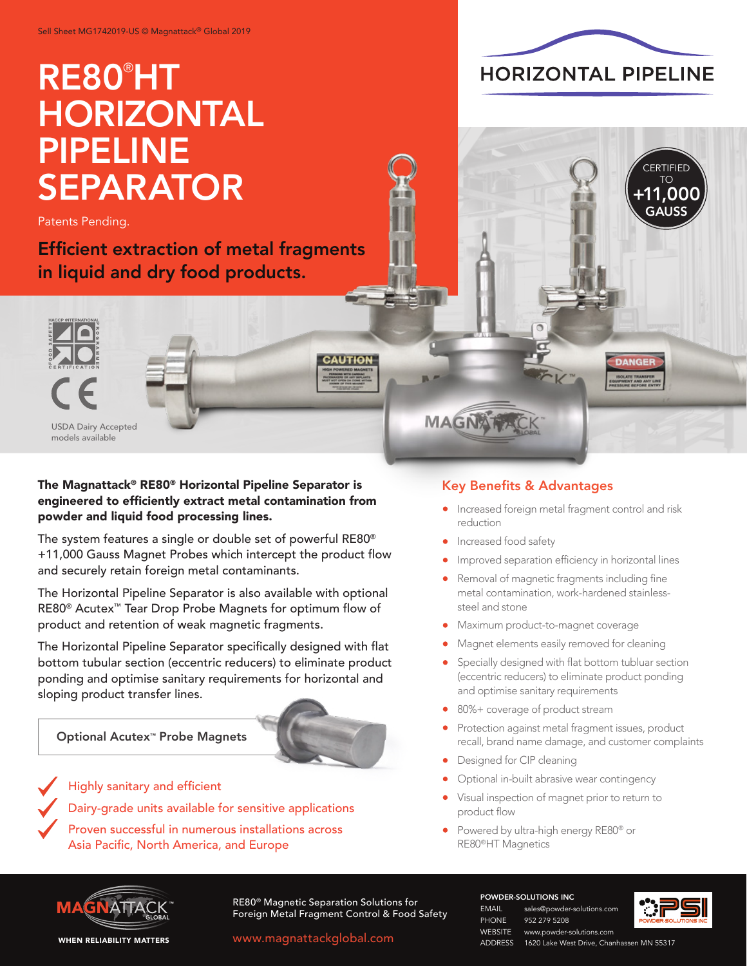# RE80® HT HORIZONTAL PIPELINE SEPARATOR

Patents Pending.

Efficient extraction of metal fragments in liquid and dry food products.





USDA Dairy Accepted models available

### The Magnattack® RE80® Horizontal Pipeline Separator is engineered to efficiently extract metal contamination from powder and liquid food processing lines.

The system features a single or double set of powerful RE80® +11,000 Gauss Magnet Probes which intercept the product flow and securely retain foreign metal contaminants.

The Horizontal Pipeline Separator is also available with optional RE80® Acutex™ Tear Drop Probe Magnets for optimum flow of product and retention of weak magnetic fragments.

The Horizontal Pipeline Separator specifically designed with flat bottom tubular section (eccentric reducers) to eliminate product ponding and optimise sanitary requirements for horizontal and sloping product transfer lines.

Optional Acutex™ Probe Magnets



 Proven successful in numerous installations across Asia Pacific, North America, and Europe



**CERTIFIED** TO +11,000 GAUSS

**ANGEI** 

### Key Benefits & Advantages

- **Increased foreign metal fragment control and risk** reduction
- Increased food safety

MAGNATACK

- **•** Improved separation efficiency in horizontal lines
- Removal of magnetic fragments including fine metal contamination, work-hardened stainlesssteel and stone
- **•** Maximum product-to-magnet coverage
- Magnet elements easily removed for cleaning
- **•** Specially designed with flat bottom tubluar section (eccentric reducers) to eliminate product ponding and optimise sanitary requirements
- 80%+ coverage of product stream
- Protection against metal fragment issues, product recall, brand name damage, and customer complaints
- Designed for CIP cleaning
- Optional in-built abrasive wear contingency
- Visual inspection of magnet prior to return to product flow
- Powered by ultra-high energy RE80<sup>®</sup> or RE80®HT Magnetics



RE80® Magnetic Separation Solutions for **FORM AND THE READ TEAM CONTROL CONTROL** Sales@powder-solutions.com<br>Foreign Metal Fragment Control & Food Safety<br>PHONE 952 279 5208

www.magnattackglobal.com

#### POWDER-SOLUTIONS INC

952 279 5208 WEBSITE www.powder-solutions.com ADDRESS 1620 Lake West Drive, Chanhassen MN 55317